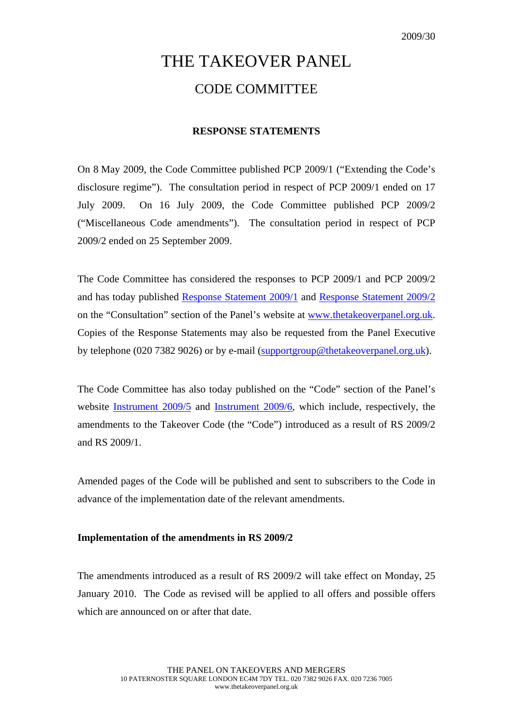# THE TAKEOVER PANEL CODE COMMITTEE

## **RESPONSE STATEMENTS**

On 8 May 2009, the Code Committee published PCP 2009/1 ("Extending the Code's disclosure regime"). The consultation period in respect of PCP 2009/1 ended on 17 July 2009. On 16 July 2009, the Code Committee published PCP 2009/2 ("Miscellaneous Code amendments"). The consultation period in respect of PCP 2009/2 ended on 25 September 2009.

The Code Committee has considered the responses to PCP 2009/1 and PCP 2009/2 and has today published [Response Statement 2009/1](http://www.thetakeoverpanel.org.uk/wp-content/uploads/2008/11/RS200901.pdf) and [Response Statement 2009/2](http://www.thetakeoverpanel.org.uk/wp-content/uploads/2008/11/RS2009021.pdf) on the "Consultation" section of the Panel's website at [www.thetakeoverpanel.org.uk](http://www.thetakeoverpanel.org.uk/). Copies of the Response Statements may also be requested from the Panel Executive by telephone (020 7382 9026) or by e-mail [\(supportgroup@thetakeoverpanel.org.uk](mailto:supportgroup@thetakeoverpanel.org.uk)).

The Code Committee has also today published on the "Code" section of the Panel's website [Instrument 2009/5](http://www.thetakeoverpanel.org.uk/wp-content/uploads/2008/11/Instrument-2009-52.pdf) and [Instrument 2009/6](http://www.thetakeoverpanel.org.uk/wp-content/uploads/2008/11/Instrument-2009-6.pdf), which include, respectively, the amendments to the Takeover Code (the "Code") introduced as a result of RS 2009/2 and RS 2009/1.

Amended pages of the Code will be published and sent to subscribers to the Code in advance of the implementation date of the relevant amendments.

## **Implementation of the amendments in RS 2009/2**

The amendments introduced as a result of RS 2009/2 will take effect on Monday, 25 January 2010. The Code as revised will be applied to all offers and possible offers which are announced on or after that date.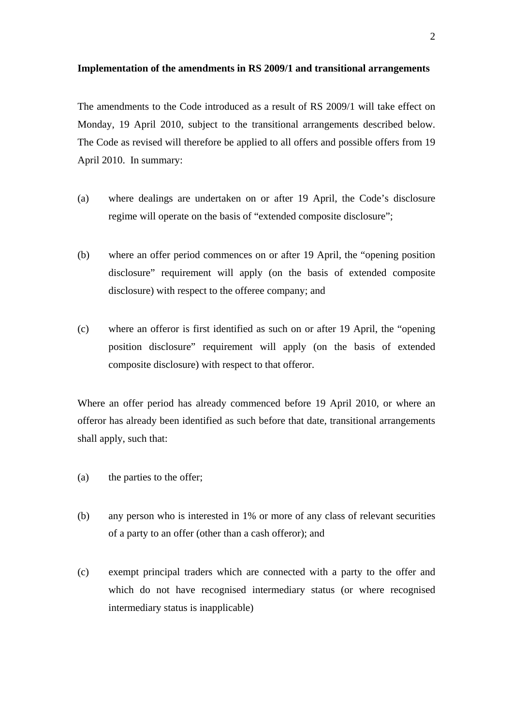#### **Implementation of the amendments in RS 2009/1 and transitional arrangements**

The amendments to the Code introduced as a result of RS 2009/1 will take effect on Monday, 19 April 2010, subject to the transitional arrangements described below. The Code as revised will therefore be applied to all offers and possible offers from 19 April 2010. In summary:

- (a) where dealings are undertaken on or after 19 April, the Code's disclosure regime will operate on the basis of "extended composite disclosure";
- (b) where an offer period commences on or after 19 April, the "opening position disclosure" requirement will apply (on the basis of extended composite disclosure) with respect to the offeree company; and
- (c) where an offeror is first identified as such on or after 19 April, the "opening position disclosure" requirement will apply (on the basis of extended composite disclosure) with respect to that offeror.

Where an offer period has already commenced before 19 April 2010, or where an offeror has already been identified as such before that date, transitional arrangements shall apply, such that:

- (a) the parties to the offer;
- (b) any person who is interested in 1% or more of any class of relevant securities of a party to an offer (other than a cash offeror); and
- (c) exempt principal traders which are connected with a party to the offer and which do not have recognised intermediary status (or where recognised intermediary status is inapplicable)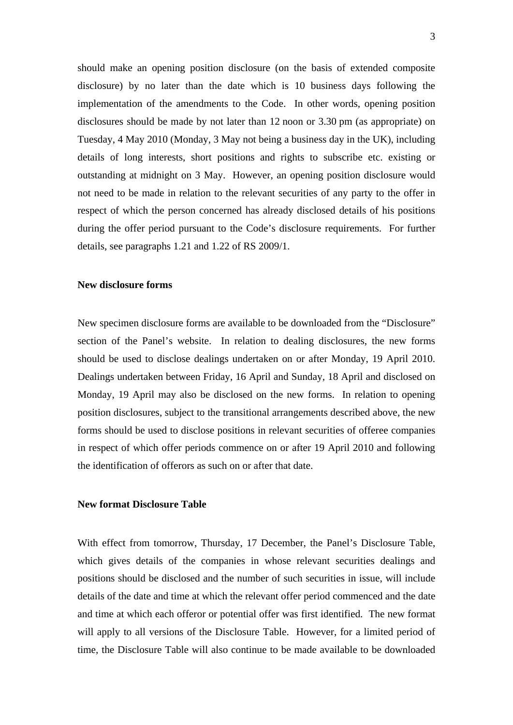should make an opening position disclosure (on the basis of extended composite disclosure) by no later than the date which is 10 business days following the implementation of the amendments to the Code. In other words, opening position disclosures should be made by not later than 12 noon or 3.30 pm (as appropriate) on Tuesday, 4 May 2010 (Monday, 3 May not being a business day in the UK), including details of long interests, short positions and rights to subscribe etc. existing or outstanding at midnight on 3 May. However, an opening position disclosure would not need to be made in relation to the relevant securities of any party to the offer in respect of which the person concerned has already disclosed details of his positions during the offer period pursuant to the Code's disclosure requirements. For further details, see paragraphs 1.21 and 1.22 of RS 2009/1.

#### **New disclosure forms**

New specimen disclosure forms are available to be downloaded from the "Disclosure" section of the Panel's website. In relation to dealing disclosures, the new forms should be used to disclose dealings undertaken on or after Monday, 19 April 2010. Dealings undertaken between Friday, 16 April and Sunday, 18 April and disclosed on Monday, 19 April may also be disclosed on the new forms. In relation to opening position disclosures, subject to the transitional arrangements described above, the new forms should be used to disclose positions in relevant securities of offeree companies in respect of which offer periods commence on or after 19 April 2010 and following the identification of offerors as such on or after that date.

## **New format Disclosure Table**

With effect from tomorrow, Thursday, 17 December, the Panel's Disclosure Table, which gives details of the companies in whose relevant securities dealings and positions should be disclosed and the number of such securities in issue, will include details of the date and time at which the relevant offer period commenced and the date and time at which each offeror or potential offer was first identified. The new format will apply to all versions of the Disclosure Table. However, for a limited period of time, the Disclosure Table will also continue to be made available to be downloaded